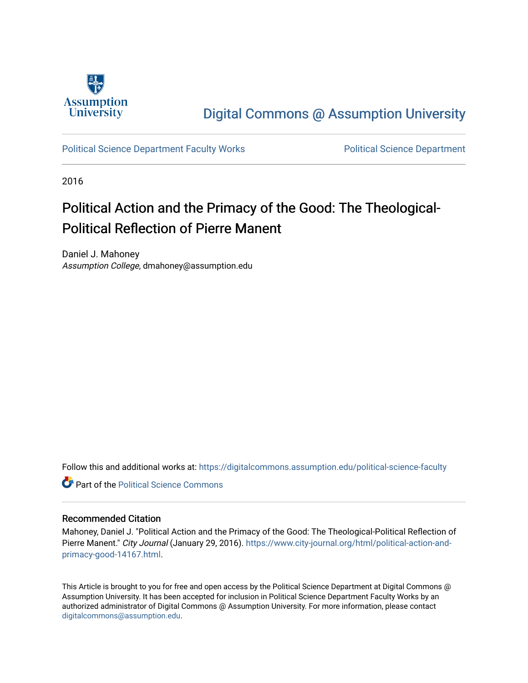

### [Digital Commons @ Assumption University](https://digitalcommons.assumption.edu/)

#### [Political Science Department Faculty Works](https://digitalcommons.assumption.edu/political-science-faculty) [Political Science Department](https://digitalcommons.assumption.edu/political-science)

2016

## Political Action and the Primacy of the Good: The Theological-Political Reflection of Pierre Manent

Daniel J. Mahoney Assumption College, dmahoney@assumption.edu

Follow this and additional works at: [https://digitalcommons.assumption.edu/political-science-faculty](https://digitalcommons.assumption.edu/political-science-faculty?utm_source=digitalcommons.assumption.edu%2Fpolitical-science-faculty%2F60&utm_medium=PDF&utm_campaign=PDFCoverPages)

**C** Part of the Political Science Commons

#### Recommended Citation

Mahoney, Daniel J. "Political Action and the Primacy of the Good: The Theological-Political Reflection of Pierre Manent." City Journal (January 29, 2016). [https://www.city-journal.org/html/political-action-and](https://www.city-journal.org/html/political-action-and-primacy-good-14167.html)[primacy-good-14167.html](https://www.city-journal.org/html/political-action-and-primacy-good-14167.html).

This Article is brought to you for free and open access by the Political Science Department at Digital Commons @ Assumption University. It has been accepted for inclusion in Political Science Department Faculty Works by an authorized administrator of Digital Commons @ Assumption University. For more information, please contact [digitalcommons@assumption.edu](mailto:digitalcommons@assumption.edu).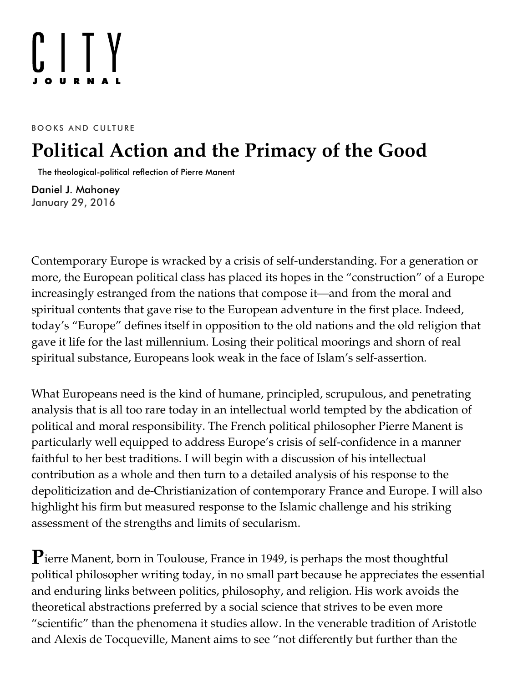# $[]$   $[]$   $Y$

BOOKS AND CULTURE

# **Political Action and the Primacy of the Good**

The theological-political reflection of Pierre Manent

[Daniel J. Mahoney](https://www.city-journal.org/contributor/daniel-j-mahoney_578) January 29, 2016

Contemporary Europe is wracked by a crisis of self-understanding. For a generation or more, the European political class has placed its hopes in the "construction" of a Europe increasingly estranged from the nations that compose it—and from the moral and spiritual contents that gave rise to the European adventure in the first place. Indeed, today's "Europe" defines itself in opposition to the old nations and the old religion that gave it life for the last millennium. Losing their political moorings and shorn of real spiritual substance, Europeans look weak in the face of Islam's self-assertion.

What Europeans need is the kind of humane, principled, scrupulous, and penetrating analysis that is all too rare today in an intellectual world tempted by the abdication of political and moral responsibility. The French political philosopher Pierre Manent is particularly well equipped to address Europe's crisis of self-confidence in a manner faithful to her best traditions. I will begin with a discussion of his intellectual contribution as a whole and then turn to a detailed analysis of his response to the depoliticization and de-Christianization of contemporary France and Europe. I will also highlight his firm but measured response to the Islamic challenge and his striking assessment of the strengths and limits of secularism.

**P** ierre Manent, born in Toulouse, France in 1949, is perhaps the most thoughtful political philosopher writing today, in no small part because he appreciates the essential and enduring links between politics, philosophy, and religion. His work avoids the theoretical abstractions preferred by a social science that strives to be even more "scientific" than the phenomena it studies allow. In the venerable tradition of Aristotle and Alexis de Tocqueville, Manent aims to see "not differently but further than the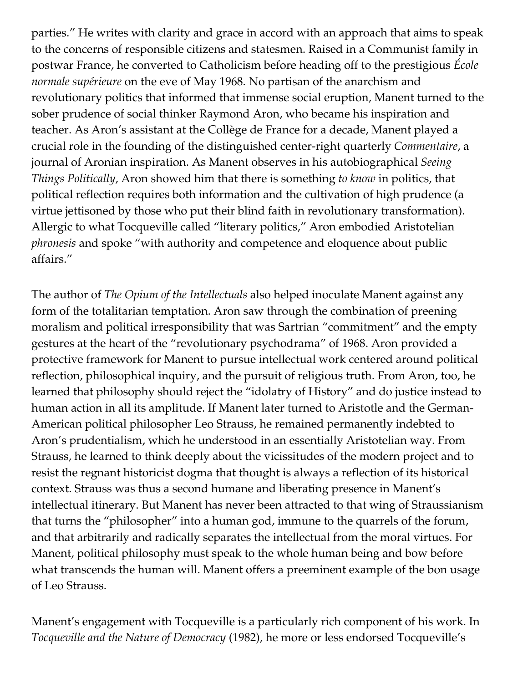parties." He writes with clarity and grace in accord with an approach that aims to speak to the concerns of responsible citizens and statesmen. Raised in a Communist family in postwar France, he converted to Catholicism before heading off to the prestigious *École normale supérieure* on the eve of May 1968. No partisan of the anarchism and revolutionary politics that informed that immense social eruption, Manent turned to the sober prudence of social thinker Raymond Aron, who became his inspiration and teacher. As Aron's assistant at the Collège de France for a decade, Manent played a crucial role in the founding of the distinguished center-right quarterly *[Commentaire](http://www.commentaire.fr/)*, a [journal of Aronian inspiration. As Manent observes in his autobiographical](http://www.amazon.com/exec/obidos/ASIN/158731813X/manhattaninstitu/) *Seeing Things Politically*, Aron showed him that there is something *to know* in politics, that political reflection requires both information and the cultivation of high prudence (a virtue jettisoned by those who put their blind faith in revolutionary transformation). Allergic to what Tocqueville called "literary politics," Aron embodied Aristotelian *phronesis* and spoke "with authority and competence and eloquence about public affairs."

The author of *[The Opium of the Intellectuals](http://www.amazon.com/exec/obidos/ASIN/0393001067/manhattaninstitu/)* also helped inoculate Manent against any form of the totalitarian temptation. Aron saw through the combination of preening moralism and political irresponsibility that was Sartrian "commitment" and the empty gestures at the heart of the "revolutionary psychodrama" of 1968. Aron provided a protective framework for Manent to pursue intellectual work centered around political reflection, philosophical inquiry, and the pursuit of religious truth. From Aron, too, he learned that philosophy should reject the "idolatry of History" and do justice instead to human action in all its amplitude. If Manent later turned to Aristotle and the German-American political philosopher Leo Strauss, he remained permanently indebted to Aron's prudentialism, which he understood in an essentially Aristotelian way. From Strauss, he learned to think deeply about the vicissitudes of the modern project and to resist the regnant historicist dogma that thought is always a reflection of its historical context. Strauss was thus a second humane and liberating presence in Manent's intellectual itinerary. But Manent has never been attracted to that wing of Straussianism that turns the "philosopher" into a human god, immune to the quarrels of the forum, and that arbitrarily and radically separates the intellectual from the moral virtues. For Manent, political philosophy must speak to the whole human being and bow before what transcends the human will. Manent offers a preeminent example of the bon usage of Leo Strauss.

Manent's engagement with Tocqueville is a particularly rich component of his work. In *[Tocqueville and the Nature of Democracy](http://www.amazon.com/exec/obidos/ASIN/0847681165/manhattaninstitu/)* (1982), he more or less endorsed Tocqueville's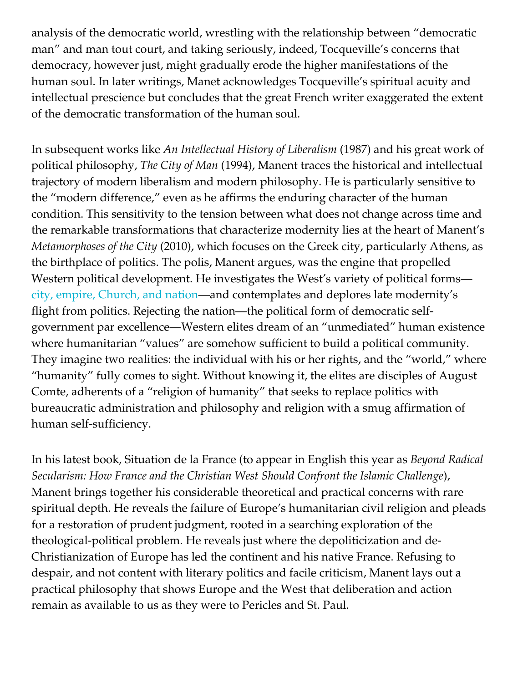analysis of the democratic world, wrestling with the relationship between "democratic man" and man tout court, and taking seriously, indeed, Tocqueville's concerns that democracy, however just, might gradually erode the higher manifestations of the human soul. In later writings, Manet acknowledges Tocqueville's spiritual acuity and intellectual prescience but concludes that the great French writer exaggerated the extent of the democratic transformation of the human soul.

In subsequent works like *[An Intellectual History of Liberalism](http://www.amazon.com/exec/obidos/ASIN/0691029113/manhattaninstitu/)* (1987) and his great work of political philosophy, *[The City of Man](http://www.amazon.com/exec/obidos/ASIN/0691050252/manhattaninstitu/)* (1994), Manent traces the historical and intellectual trajectory of modern liberalism and modern philosophy. He is particularly sensitive to the "modern difference," even as he affirms the enduring character of the human condition. This sensitivity to the tension between what does not change across time and the remarkable transformations that characterize modernity lies at the heart of Manent's *[Metamorphoses of the City](http://www.amazon.com/exec/obidos/ASIN/0674072944/manhattaninstitu/)* (2010), which focuses on the Greek city, particularly Athens, as the birthplace of politics. The polis, Manent argues, was the engine that propelled Western political development. He investigates the West's variety of political forms [city, empire, Church, and nation—](http://www.city-journal.org/2012/22_3_modernity.html)and contemplates and deplores late modernity's flight from politics. Rejecting the nation—the political form of democratic selfgovernment par excellence—Western elites dream of an "unmediated" human existence where humanitarian "values" are somehow sufficient to build a political community. They imagine two realities: the individual with his or her rights, and the "world," where "humanity" fully comes to sight. Without knowing it, the elites are disciples of August Comte, adherents of a "religion of humanity" that seeks to replace politics with bureaucratic administration and philosophy and religion with a smug affirmation of human self-sufficiency.

In his latest book, Situation de la France (to appear in English this year as *Beyond Radical [Secularism: How France and the Christian West Should Confront the Islamic Challenge](http://www.amazon.com/exec/obidos/ASIN/1587310740/manhattaninstitu/)*), Manent brings together his considerable theoretical and practical concerns with rare spiritual depth. He reveals the failure of Europe's humanitarian civil religion and pleads for a restoration of prudent judgment, rooted in a searching exploration of the theological-political problem. He reveals just where the depoliticization and de-Christianization of Europe has led the continent and his native France. Refusing to despair, and not content with literary politics and facile criticism, Manent lays out a practical philosophy that shows Europe and the West that deliberation and action remain as available to us as they were to Pericles and St. Paul.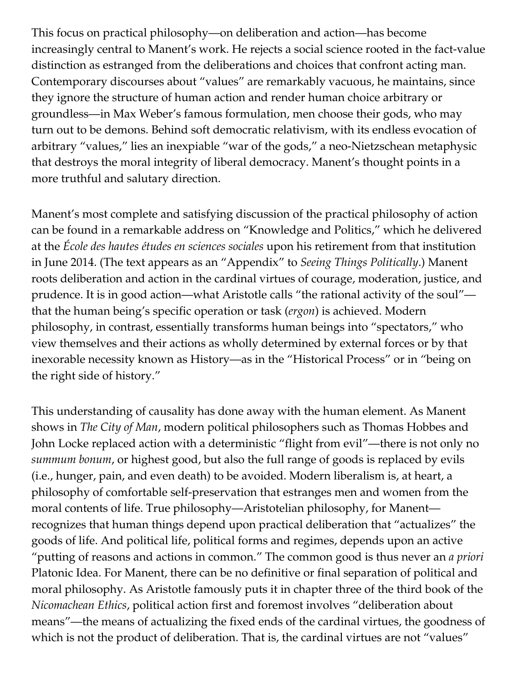This focus on practical philosophy—on deliberation and action—has become increasingly central to Manent's work. He rejects a social science rooted in the fact-value distinction as estranged from the deliberations and choices that confront acting man. Contemporary discourses about "values" are remarkably vacuous, he maintains, since they ignore the structure of human action and render human choice arbitrary or groundless—in Max Weber's famous formulation, men choose their gods, who may turn out to be demons. Behind soft democratic relativism, with its endless evocation of arbitrary "values," lies an inexpiable "war of the gods," a neo-Nietzschean metaphysic that destroys the moral integrity of liberal democracy. Manent's thought points in a more truthful and salutary direction.

Manent's most complete and satisfying discussion of the practical philosophy of action can be found in a remarkable address on "Knowledge and Politics," which he delivered at the *École des hautes études en sciences sociales* upon his retirement from that institution in June 2014. (The text appears as an "Appendix" to *Seeing Things Politically*.) Manent roots deliberation and action in the cardinal virtues of courage, moderation, justice, and prudence. It is in good action—what Aristotle calls "the rational activity of the soul" that the human being's specific operation or task (*ergon*) is achieved. Modern philosophy, in contrast, essentially transforms human beings into "spectators," who view themselves and their actions as wholly determined by external forces or by that inexorable necessity known as History—as in the "Historical Process" or in "being on the right side of history."

This understanding of causality has done away with the human element. As Manent shows in *The City of Man*, modern political philosophers such as Thomas Hobbes and John Locke replaced action with a deterministic "flight from evil"—there is not only no *summum bonum*, or highest good, but also the full range of goods is replaced by evils (i.e., hunger, pain, and even death) to be avoided. Modern liberalism is, at heart, a philosophy of comfortable self-preservation that estranges men and women from the moral contents of life. True philosophy—Aristotelian philosophy, for Manent recognizes that human things depend upon practical deliberation that "actualizes" the goods of life. And political life, political forms and regimes, depends upon an active "putting of reasons and actions in common." The common good is thus never an *a priori* Platonic Idea. For Manent, there can be no definitive or final separation of political and moral philosophy. As Aristotle famously puts it in chapter three of the third book of the *Nicomachean Ethics*, political action first and foremost involves "deliberation about means"—the means of actualizing the fixed ends of the cardinal virtues, the goodness of which is not the product of deliberation. That is, the cardinal virtues are not "values"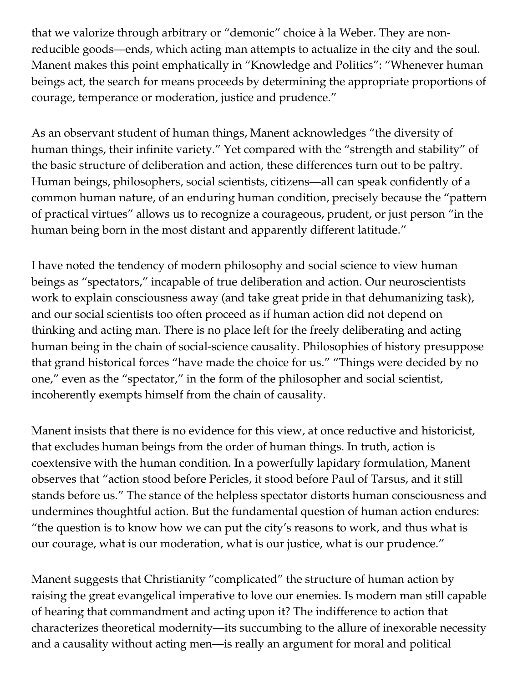that we valorize through arbitrary or "demonic" choice à la Weber. They are nonreducible goods—ends, which acting man attempts to actualize in the city and the soul. Manent makes this point emphatically in "Knowledge and Politics": "Whenever human beings act, the search for means proceeds by determining the appropriate proportions of courage, temperance or moderation, justice and prudence."

As an observant student of human things, Manent acknowledges "the diversity of human things, their infinite variety." Yet compared with the "strength and stability" of the basic structure of deliberation and action, these differences turn out to be paltry. Human beings, philosophers, social scientists, citizens—all can speak confidently of a common human nature, of an enduring human condition, precisely because the "pattern of practical virtues" allows us to recognize a courageous, prudent, or just person "in the human being born in the most distant and apparently different latitude."

I have noted the tendency of modern philosophy and social science to view human beings as "spectators," incapable of true deliberation and action. Our neuroscientists work to explain consciousness away (and take great pride in that dehumanizing task), and our social scientists too often proceed as if human action did not depend on thinking and acting man. There is no place left for the freely deliberating and acting human being in the chain of social-science causality. Philosophies of history presuppose that grand historical forces "have made the choice for us." "Things were decided by no one," even as the "spectator," in the form of the philosopher and social scientist, incoherently exempts himself from the chain of causality.

Manent insists that there is no evidence for this view, at once reductive and historicist, that excludes human beings from the order of human things. In truth, action is coextensive with the human condition. In a powerfully lapidary formulation, Manent observes that "action stood before Pericles, it stood before Paul of Tarsus, and it still stands before us." The stance of the helpless spectator distorts human consciousness and undermines thoughtful action. But the fundamental question of human action endures: "the question is to know how we can put the city's reasons to work, and thus what is our courage, what is our moderation, what is our justice, what is our prudence."

Manent suggests that Christianity "complicated" the structure of human action by raising the great evangelical imperative to love our enemies. Is modern man still capable of hearing that commandment and acting upon it? The indifference to action that characterizes theoretical modernity—its succumbing to the allure of inexorable necessity and a causality without acting men—is really an argument for moral and political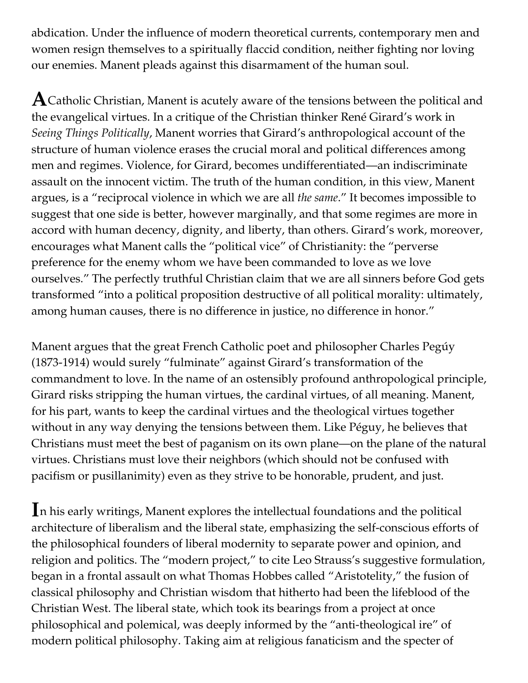abdication. Under the influence of modern theoretical currents, contemporary men and women resign themselves to a spiritually flaccid condition, neither fighting nor loving our enemies. Manent pleads against this disarmament of the human soul.

 ${\bf A}$ Catholic Christian, Manent is acutely aware of the tensions between the political and the evangelical virtues. In a critique of the Christian thinker René Girard's work in *Seeing Things Politically*, Manent worries that Girard's anthropological account of the structure of human violence erases the crucial moral and political differences among men and regimes. Violence, for Girard, becomes undifferentiated—an indiscriminate assault on the innocent victim. The truth of the human condition, in this view, Manent argues, is a "reciprocal violence in which we are all *the same*." It becomes impossible to suggest that one side is better, however marginally, and that some regimes are more in accord with human decency, dignity, and liberty, than others. Girard's work, moreover, encourages what Manent calls the "political vice" of Christianity: the "perverse preference for the enemy whom we have been commanded to love as we love ourselves." The perfectly truthful Christian claim that we are all sinners before God gets transformed "into a political proposition destructive of all political morality: ultimately, among human causes, there is no difference in justice, no difference in honor."

Manent argues that the great French Catholic poet and philosopher Charles Pegúy (1873-1914) would surely "fulminate" against Girard's transformation of the commandment to love. In the name of an ostensibly profound anthropological principle, Girard risks stripping the human virtues, the cardinal virtues, of all meaning. Manent, for his part, wants to keep the cardinal virtues and the theological virtues together without in any way denying the tensions between them. Like Péguy, he believes that Christians must meet the best of paganism on its own plane—on the plane of the natural virtues. Christians must love their neighbors (which should not be confused with pacifism or pusillanimity) even as they strive to be honorable, prudent, and just.

**I** n his early writings, Manent explores the intellectual foundations and the political architecture of liberalism and the liberal state, emphasizing the self-conscious efforts of the philosophical founders of liberal modernity to separate power and opinion, and religion and politics. The "modern project," to cite Leo Strauss's suggestive formulation, began in a frontal assault on what Thomas Hobbes called "Aristotelity," the fusion of classical philosophy and Christian wisdom that hitherto had been the lifeblood of the Christian West. The liberal state, which took its bearings from a project at once philosophical and polemical, was deeply informed by the "anti-theological ire" of modern political philosophy. Taking aim at religious fanaticism and the specter of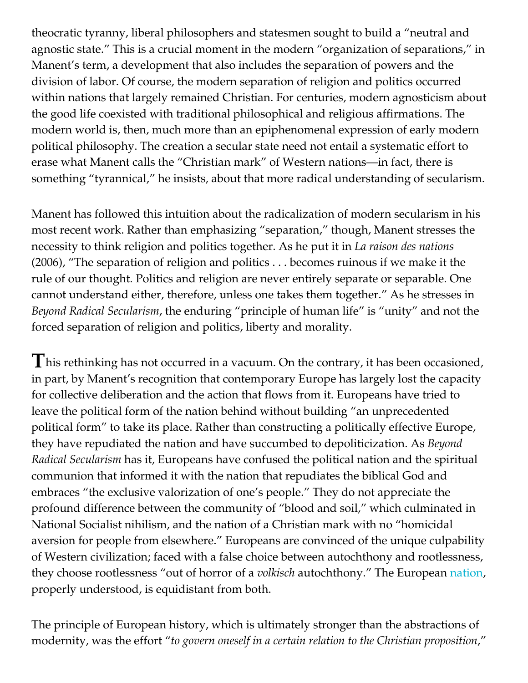theocratic tyranny, liberal philosophers and statesmen sought to build a "neutral and agnostic state." This is a crucial moment in the modern "organization of separations," in Manent's term, a development that also includes the separation of powers and the division of labor. Of course, the modern separation of religion and politics occurred within nations that largely remained Christian. For centuries, modern agnosticism about the good life coexisted with traditional philosophical and religious affirmations. The modern world is, then, much more than an epiphenomenal expression of early modern political philosophy. The creation a secular state need not entail a systematic effort to erase what Manent calls the "Christian mark" of Western nations—in fact, there is something "tyrannical," he insists, about that more radical understanding of secularism.

Manent has followed this intuition about the radicalization of modern secularism in his most recent work. Rather than emphasizing "separation," though, Manent stresses the necessity to think religion and politics together. As he put it in *[La raison des nations](http://www.amazon.com/exec/obidos/ASIN/2070777340/manhattaninstitu/)* (2006), "The separation of religion and politics . . . becomes ruinous if we make it the rule of our thought. Politics and religion are never entirely separate or separable. One cannot understand either, therefore, unless one takes them together." As he stresses in *Beyond Radical Secularism*, the enduring "principle of human life" is "unity" and not the forced separation of religion and politics, liberty and morality.

**T** his rethinking has not occurred in a vacuum. On the contrary, it has been occasioned, in part, by Manent's recognition that contemporary Europe has largely lost the capacity for collective deliberation and the action that flows from it. Europeans have tried to leave the political form of the nation behind without building "an unprecedented political form" to take its place. Rather than constructing a politically effective Europe, they have repudiated the nation and have succumbed to depoliticization. As *Beyond Radical Secularism* has it, Europeans have confused the political nation and the spiritual communion that informed it with the nation that repudiates the biblical God and embraces "the exclusive valorization of one's people." They do not appreciate the profound difference between the community of "blood and soil," which culminated in National Socialist nihilism, and the nation of a Christian mark with no "homicidal aversion for people from elsewhere." Europeans are convinced of the unique culpability of Western civilization; faced with a false choice between autochthony and rootlessness, they choose rootlessness "out of horror of a *volkisch* autochthony." The European [nation](http://www.city-journal.org/2013/23_1_nation-state.html), properly understood, is equidistant from both.

The principle of European history, which is ultimately stronger than the abstractions of modernity, was the effort "*to govern oneself in a certain relation to the Christian proposition*,"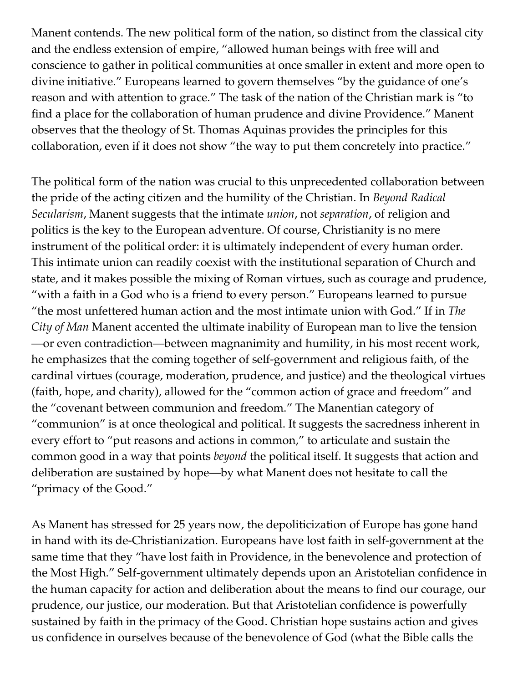Manent contends. The new political form of the nation, so distinct from the classical city and the endless extension of empire, "allowed human beings with free will and conscience to gather in political communities at once smaller in extent and more open to divine initiative." Europeans learned to govern themselves "by the guidance of one's reason and with attention to grace." The task of the nation of the Christian mark is "to find a place for the collaboration of human prudence and divine Providence." Manent observes that the theology of St. Thomas Aquinas provides the principles for this collaboration, even if it does not show "the way to put them concretely into practice."

The political form of the nation was crucial to this unprecedented collaboration between the pride of the acting citizen and the humility of the Christian. In *Beyond Radical Secularism*, Manent suggests that the intimate *union*, not *separation*, of religion and politics is the key to the European adventure. Of course, Christianity is no mere instrument of the political order: it is ultimately independent of every human order. This intimate union can readily coexist with the institutional separation of Church and state, and it makes possible the mixing of Roman virtues, such as courage and prudence, "with a faith in a God who is a friend to every person." Europeans learned to pursue "the most unfettered human action and the most intimate union with God." If in *The City of Man* Manent accented the ultimate inability of European man to live the tension —or even contradiction—between magnanimity and humility, in his most recent work, he emphasizes that the coming together of self-government and religious faith, of the cardinal virtues (courage, moderation, prudence, and justice) and the theological virtues (faith, hope, and charity), allowed for the "common action of grace and freedom" and the "covenant between communion and freedom." The Manentian category of "communion" is at once theological and political. It suggests the sacredness inherent in every effort to "put reasons and actions in common," to articulate and sustain the common good in a way that points *beyond* the political itself. It suggests that action and deliberation are sustained by hope—by what Manent does not hesitate to call the "primacy of the Good."

As Manent has stressed for 25 years now, the depoliticization of Europe has gone hand in hand with its de-Christianization. Europeans have lost faith in self-government at the same time that they "have lost faith in Providence, in the benevolence and protection of the Most High." Self-government ultimately depends upon an Aristotelian confidence in the human capacity for action and deliberation about the means to find our courage, our prudence, our justice, our moderation. But that Aristotelian confidence is powerfully sustained by faith in the primacy of the Good. Christian hope sustains action and gives us confidence in ourselves because of the benevolence of God (what the Bible calls the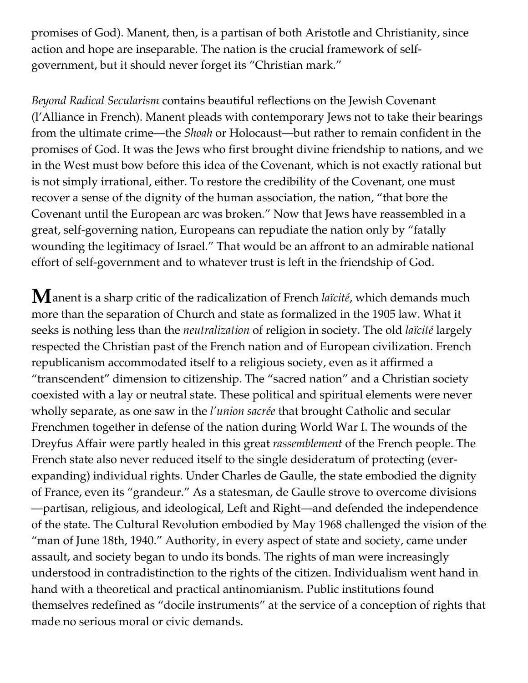promises of God). Manent, then, is a partisan of both Aristotle and Christianity, since action and hope are inseparable. The nation is the crucial framework of selfgovernment, but it should never forget its "Christian mark."

*Beyond Radical Secularism* contains beautiful reflections on the Jewish Covenant (l'Alliance in French). Manent pleads with contemporary Jews not to take their bearings from the ultimate crime—the *Shoah* or Holocaust—but rather to remain confident in the promises of God. It was the Jews who first brought divine friendship to nations, and we in the West must bow before this idea of the Covenant, which is not exactly rational but is not simply irrational, either. To restore the credibility of the Covenant, one must recover a sense of the dignity of the human association, the nation, "that bore the Covenant until the European arc was broken." Now that Jews have reassembled in a great, self-governing nation, Europeans can repudiate the nation only by "fatally wounding the legitimacy of Israel." That would be an affront to an admirable national effort of self-government and to whatever trust is left in the friendship of God.

**M** anent is a sharp critic of the radicalization of French *laïcité*, which demands much more than the separation of Church and state as formalized in the 1905 law. What it seeks is nothing less than the *neutralization* of religion in society. The old *laïcité* largely respected the Christian past of the French nation and of European civilization. French republicanism accommodated itself to a religious society, even as it affirmed a "transcendent" dimension to citizenship. The "sacred nation" and a Christian society coexisted with a lay or neutral state. These political and spiritual elements were never wholly separate, as one saw in the *l'union sacrée* that brought Catholic and secular Frenchmen together in defense of the nation during World War I. The wounds of the Dreyfus Affair were partly healed in this great *rassemblement* of the French people. The French state also never reduced itself to the single desideratum of protecting (everexpanding) individual rights. Under Charles de Gaulle, the state embodied the dignity of France, even its "grandeur." As a statesman, de Gaulle strove to overcome divisions —partisan, religious, and ideological, Left and Right—and defended the independence of the state. The Cultural Revolution embodied by May 1968 challenged the vision of the "man of June 18th, 1940." Authority, in every aspect of state and society, came under assault, and society began to undo its bonds. The rights of man were increasingly understood in contradistinction to the rights of the citizen. Individualism went hand in hand with a theoretical and practical antinomianism. Public institutions found themselves redefined as "docile instruments" at the service of a conception of rights that made no serious moral or civic demands.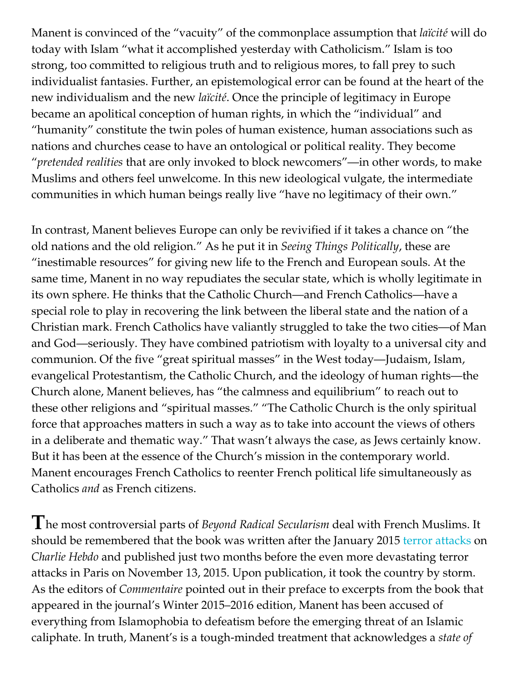Manent is convinced of the "vacuity" of the commonplace assumption that *laïcité* will do today with Islam "what it accomplished yesterday with Catholicism." Islam is too strong, too committed to religious truth and to religious mores, to fall prey to such individualist fantasies. Further, an epistemological error can be found at the heart of the new individualism and the new *laïcité*. Once the principle of legitimacy in Europe became an apolitical conception of human rights, in which the "individual" and "humanity" constitute the twin poles of human existence, human associations such as nations and churches cease to have an ontological or political reality. They become "*pretended realities* that are only invoked to block newcomers"—in other words, to make Muslims and others feel unwelcome. In this new ideological vulgate, the intermediate communities in which human beings really live "have no legitimacy of their own."

In contrast, Manent believes Europe can only be revivified if it takes a chance on "the old nations and the old religion." As he put it in *Seeing Things Politically*, these are "inestimable resources" for giving new life to the French and European souls. At the same time, Manent in no way repudiates the secular state, which is wholly legitimate in its own sphere. He thinks that the Catholic Church—and French Catholics—have a special role to play in recovering the link between the liberal state and the nation of a Christian mark. French Catholics have valiantly struggled to take the two cities—of Man and God—seriously. They have combined patriotism with loyalty to a universal city and communion. Of the five "great spiritual masses" in the West today—Judaism, Islam, evangelical Protestantism, the Catholic Church, and the ideology of human rights—the Church alone, Manent believes, has "the calmness and equilibrium" to reach out to these other religions and "spiritual masses." "The Catholic Church is the only spiritual force that approaches matters in such a way as to take into account the views of others in a deliberate and thematic way." That wasn't always the case, as Jews certainly know. But it has been at the essence of the Church's mission in the contemporary world. Manent encourages French Catholics to reenter French political life simultaneously as Catholics *and* as French citizens.

**T** he most controversial parts of *Beyond Radical Secularism* deal with French Muslims. It should be remembered that the book was written after the January 2015 [terror attacks](http://www.city-journal.org/2015/eon0107td.html) on *Charlie Hebdo* and published just two months before the even more devastating terror attacks in Paris on November 13, 2015. Upon publication, it took the country by storm. As the editors of *Commentaire* pointed out in their preface to excerpts from the book that appeared in the journal's Winter 2015–2016 edition, Manent has been accused of everything from Islamophobia to defeatism before the emerging threat of an Islamic caliphate. In truth, Manent's is a tough-minded treatment that acknowledges a *state of*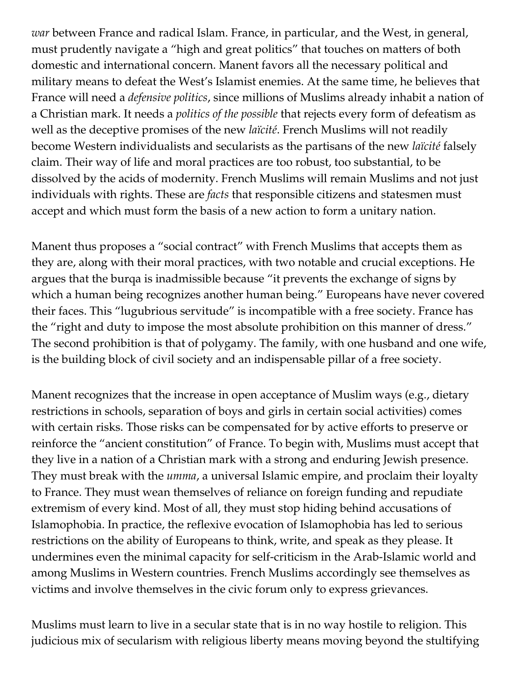*war* between France and radical Islam. France, in particular, and the West, in general, must prudently navigate a "high and great politics" that touches on matters of both domestic and international concern. Manent favors all the necessary political and military means to defeat the West's Islamist enemies. At the same time, he believes that France will need a *defensive politics*, since millions of Muslims already inhabit a nation of a Christian mark. It needs a *politics of the possible* that rejects every form of defeatism as well as the deceptive promises of the new *laïcité*. French Muslims will not readily become Western individualists and secularists as the partisans of the new *laïcité* falsely claim. Their way of life and moral practices are too robust, too substantial, to be dissolved by the acids of modernity. French Muslims will remain Muslims and not just individuals with rights. These are *facts* that responsible citizens and statesmen must accept and which must form the basis of a new action to form a unitary nation.

Manent thus proposes a "social contract" with French Muslims that accepts them as they are, along with their moral practices, with two notable and crucial exceptions. He argues that the burqa is inadmissible because "it prevents the exchange of signs by which a human being recognizes another human being." Europeans have never covered their faces. This "lugubrious servitude" is incompatible with a free society. France has the "right and duty to impose the most absolute prohibition on this manner of dress." The second prohibition is that of polygamy. The family, with one husband and one wife, is the building block of civil society and an indispensable pillar of a free society.

Manent recognizes that the increase in open acceptance of Muslim ways (e.g., dietary restrictions in schools, separation of boys and girls in certain social activities) comes with certain risks. Those risks can be compensated for by active efforts to preserve or reinforce the "ancient constitution" of France. To begin with, Muslims must accept that they live in a nation of a Christian mark with a strong and enduring Jewish presence. They must break with the *umma*, a universal Islamic empire, and proclaim their loyalty to France. They must wean themselves of reliance on foreign funding and repudiate extremism of every kind. Most of all, they must stop hiding behind accusations of Islamophobia. In practice, the reflexive evocation of Islamophobia has led to serious restrictions on the ability of Europeans to think, write, and speak as they please. It undermines even the minimal capacity for self-criticism in the Arab-Islamic world and among Muslims in Western countries. French Muslims accordingly see themselves as victims and involve themselves in the civic forum only to express grievances.

Muslims must learn to live in a secular state that is in no way hostile to religion. This judicious mix of secularism with religious liberty means moving beyond the stultifying